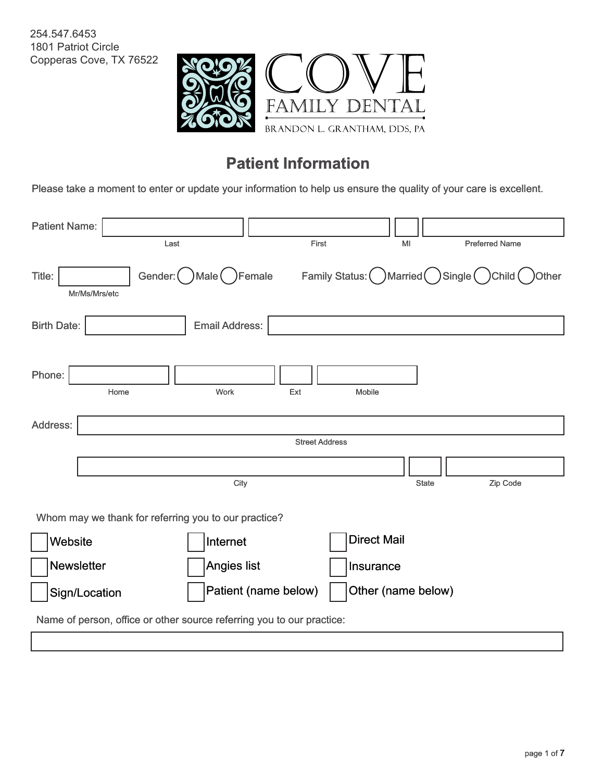254.547.6453 1801 Patriot Circle Copperas Cove, TX 76522



## **Patient Information**

Please take a moment to enter or update your information to help us ensure the quality of your care is excellent.

| <b>Patient Name:</b> |                                                                       |                       |                       |                                         |                       |
|----------------------|-----------------------------------------------------------------------|-----------------------|-----------------------|-----------------------------------------|-----------------------|
|                      | Last                                                                  |                       | First                 | MI                                      | <b>Preferred Name</b> |
| Title:               | Gender: (<br>Mr/Ms/Mrs/etc                                            | )Male (<br>Female     |                       | Family Status: ( ) Married ( ) Single ( | )Child (<br>Other     |
| <b>Birth Date:</b>   |                                                                       | <b>Email Address:</b> |                       |                                         |                       |
|                      |                                                                       |                       |                       |                                         |                       |
| Phone:               | Home                                                                  | Work                  | Ext                   | Mobile                                  |                       |
| Address:             |                                                                       |                       |                       |                                         |                       |
|                      |                                                                       |                       | <b>Street Address</b> |                                         |                       |
|                      |                                                                       |                       |                       |                                         |                       |
|                      |                                                                       | City                  |                       |                                         | Zip Code<br>State     |
|                      | Whom may we thank for referring you to our practice?                  |                       |                       |                                         |                       |
| Website              |                                                                       | Internet              |                       | <b>Direct Mail</b>                      |                       |
| Newsletter           |                                                                       | Angies list           |                       | Insurance                               |                       |
|                      | Sign/Location                                                         | Patient (name below)  |                       | Other (name below)                      |                       |
|                      | Name of person, office or other source referring you to our practice: |                       |                       |                                         |                       |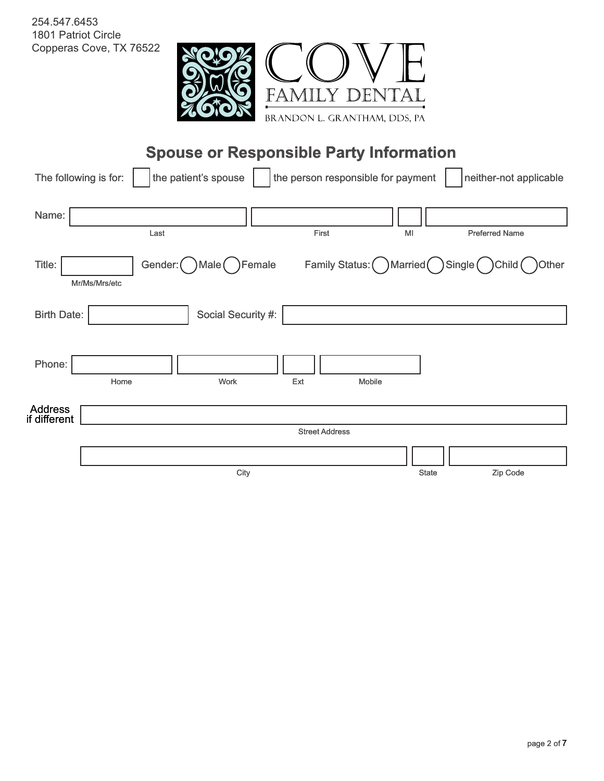

| 254.547.6453<br>1801 Patriot Circle | Copperas Cove, TX 76522<br>FAN<br>BRANDON L. GRANTHAM, DDS, PA                      |                                             |
|-------------------------------------|-------------------------------------------------------------------------------------|---------------------------------------------|
|                                     | <b>Spouse or Responsible Party Information</b>                                      |                                             |
|                                     | the person responsible for payment<br>the patient's spouse<br>The following is for: | neither-not applicable                      |
| Name:                               | First<br>Last<br>MI                                                                 | <b>Preferred Name</b>                       |
| Title:                              | Family Status: ( ) Married (<br>Gender: (<br>Female<br>)Male (<br>Mr/Ms/Mrs/etc     | $\sum_{i=1}^{n}$<br>Child (<br><b>Other</b> |
| <b>Birth Date:</b>                  | Social Security #:                                                                  |                                             |
| Phone:                              | Work<br>Ext<br>Mobile<br>Home                                                       |                                             |
| Address<br>if different             |                                                                                     |                                             |
|                                     | <b>Street Address</b>                                                               |                                             |
|                                     |                                                                                     |                                             |
|                                     | City<br>State                                                                       | Zip Code                                    |
|                                     |                                                                                     |                                             |
|                                     |                                                                                     |                                             |
|                                     |                                                                                     |                                             |
|                                     |                                                                                     |                                             |
|                                     |                                                                                     |                                             |
|                                     |                                                                                     |                                             |
|                                     |                                                                                     |                                             |
|                                     |                                                                                     |                                             |
|                                     |                                                                                     |                                             |
|                                     |                                                                                     |                                             |
|                                     |                                                                                     |                                             |
|                                     |                                                                                     |                                             |
|                                     |                                                                                     | page 2 of 7                                 |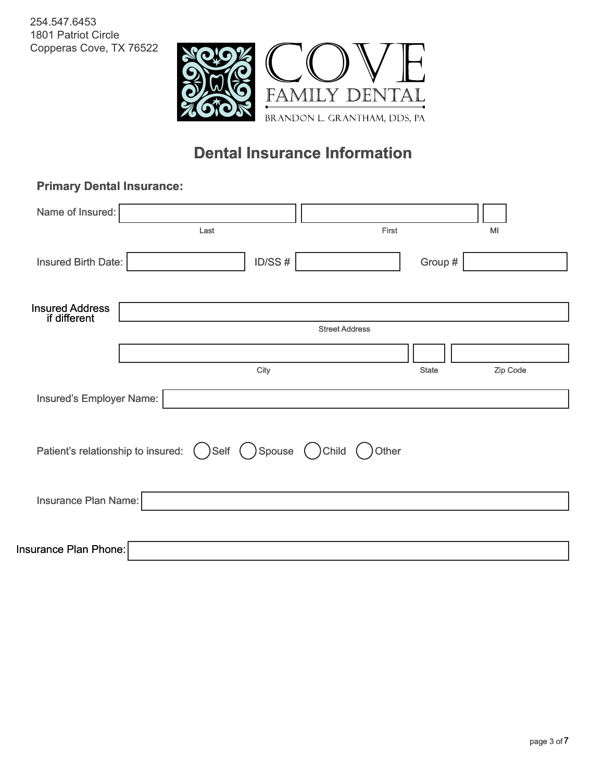

# **Primary Dental Insurance: In nsurance: Primary Dental**

| page 3 of 7 |
|-------------|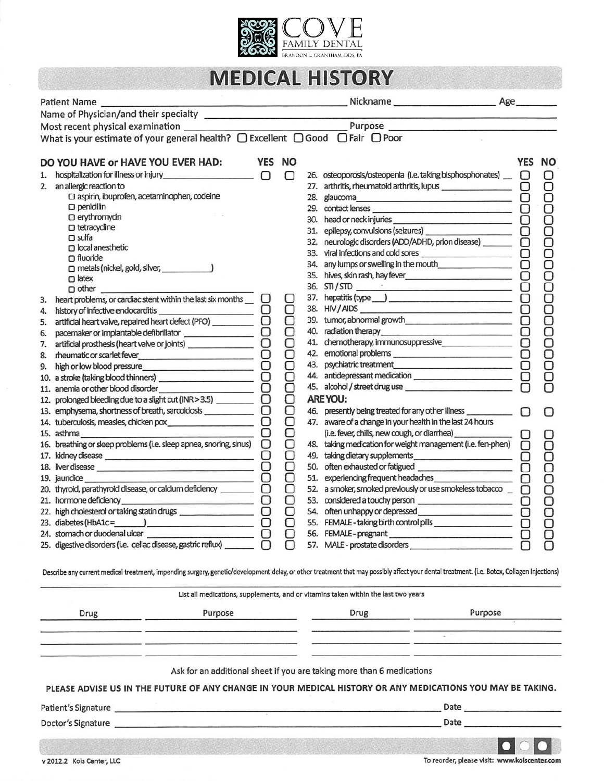

## **MEDICAL HISTORY**

|    | <b>Patient Name</b>                                                                                                                                                                        |             |        |     | Age                                                                                |            |        |
|----|--------------------------------------------------------------------------------------------------------------------------------------------------------------------------------------------|-------------|--------|-----|------------------------------------------------------------------------------------|------------|--------|
|    |                                                                                                                                                                                            |             |        |     |                                                                                    |            |        |
|    |                                                                                                                                                                                            |             |        |     | Purpose                                                                            |            |        |
|    | What is your estimate of your general health? $\Box$ Excellent $\Box$ Good $\Box$ Fair $\Box$ Poor                                                                                         |             |        |     |                                                                                    |            |        |
|    |                                                                                                                                                                                            |             |        |     |                                                                                    |            |        |
|    | DO YOU HAVE or HAVE YOU EVER HAD:                                                                                                                                                          | YES NO      |        |     |                                                                                    | <b>YES</b> | NO     |
| 1. |                                                                                                                                                                                            |             | ∩      |     | 26. osteoporosis/osteopenia (i.e. taking bisphosphonates) _                        | U          |        |
|    | 2. an allergic reaction to                                                                                                                                                                 |             |        |     | 27. arthritis, rheumatoid arthritis, lupus ___________________                     | О          | Ō      |
|    | O aspirin, ibuprofen, acetaminophen, codeine                                                                                                                                               |             |        |     |                                                                                    | О          |        |
|    | $\square$ penicillin<br>O erythromycin                                                                                                                                                     |             |        |     |                                                                                    | О          |        |
|    | O tetracycline                                                                                                                                                                             |             |        | 30. |                                                                                    | 8          | 000000 |
|    | $\square$ sulfa                                                                                                                                                                            |             |        | 31. |                                                                                    |            |        |
|    | $\Box$ local anesthetic                                                                                                                                                                    |             |        | 32. | neurologic disorders (ADD/ADHD, prion disease) _______                             | 0          |        |
|    | $\Box$ fluoride                                                                                                                                                                            |             |        | 33. | viral infections and cold sores                                                    | □          |        |
|    | $\Box$ metals (nickel, gold, silver, $\Box$                                                                                                                                                |             |        |     | 34. any lumps or swelling in the mouth                                             | О          |        |
|    | $\Box$ latex                                                                                                                                                                               |             |        |     |                                                                                    | Ο          |        |
|    | $\Box$ other                                                                                                                                                                               |             |        |     |                                                                                    | О          |        |
| 3. | heart problems, or cardiac stent within the last six months                                                                                                                                |             | U      |     |                                                                                    | О          |        |
| 4. |                                                                                                                                                                                            |             | О      |     | 39. tumor, abnormal growth                                                         | O          |        |
| 5. | artificial heart valve, repaired heart defect (PFO) ____________                                                                                                                           |             | О<br>О |     | 40. radiation therapy                                                              | Ο          |        |
| 6. | $\Box$ pacemaker or implantable defibrillator $\Box$ $\Box$                                                                                                                                |             | Ò      |     | the contract of the contract of the contract of the contract of the contract of    |            |        |
| 7. | artificial prosthesis (heart valve or joints) ___________________________________                                                                                                          |             | Ō      |     |                                                                                    | U<br>О     | ă      |
| 8. |                                                                                                                                                                                            | О           | О      |     | 43. psychiatric treatment                                                          |            |        |
| 9. |                                                                                                                                                                                            |             | О      |     |                                                                                    | O<br>O     |        |
|    |                                                                                                                                                                                            | O<br>$\Box$ | О      |     | 45. alcohol / street drug use                                                      |            |        |
|    | 12. prolonged bleeding due to a slight cut (INR > 3.5) _________________________                                                                                                           |             |        |     | <b>ARE YOU:</b>                                                                    |            |        |
|    | 13. emphysema, shortness of breath, sarcoidosis _____________                                                                                                                              | Ō           | Ō      |     | 46. presently being treated for any other illness ___________                      | П          |        |
|    |                                                                                                                                                                                            | Ō           |        |     | 47. aware of a change in your health in the last 24 hours                          |            |        |
|    | 15. asthma                                                                                                                                                                                 | $\Box$      | 8      |     |                                                                                    |            |        |
|    | 16. breathing or sleep problems (i.e. sleep apnea, snoring, sinus)                                                                                                                         | O           | О      |     | 48. taking medication for weight management (i.e. fen-phen)                        |            |        |
|    |                                                                                                                                                                                            |             | О      |     |                                                                                    |            |        |
|    | 18. liver disease                                                                                                                                                                          | 8           | О      |     | 50. often exhausted or fatigued _________________________                          | Ō          |        |
|    | 19. jaundice                                                                                                                                                                               | O           | О      |     | 51. experiencing frequent headaches                                                |            |        |
|    | 20. thyroid, parathyroid disease, or calcium deficiency _________________________                                                                                                          |             | О      |     | 52. a smoker, smoked previously or use smokeless tobacco                           | n          |        |
|    | 21. hormone deficiency_<br><u> O Britannico de la provincia de la pro</u>                                                                                                                  |             | О      |     |                                                                                    | $\cup$     |        |
|    |                                                                                                                                                                                            |             | О      |     |                                                                                    | O          |        |
|    |                                                                                                                                                                                            |             | О      |     |                                                                                    | ∩          | Ō      |
|    | 24. stomach or duodenal ulcer                                                                                                                                                              |             |        |     | 56. FEMALE-pregnant                                                                |            |        |
|    | 25. digestive disorders (i.e. celiac disease, gastric reflux) _                                                                                                                            |             |        |     | 57. MALE - prostate disorders                                                      |            |        |
|    | Describe any current medical treatment, impending surgery, genetic/development delay, or other treatment that may possibly affect your dental treatment. (i.e. Botox, Collagen Injections) |             |        |     |                                                                                    |            |        |
|    |                                                                                                                                                                                            |             |        |     | List all medications, supplements, and or vitamins taken within the last two years |            |        |
|    | Purpose<br>Drug                                                                                                                                                                            |             |        |     | Purpose<br>Drug                                                                    |            |        |
|    | .<br>The contract of the contract of the contract of the contract of the contract of the contract of the contract of                                                                       |             |        |     |                                                                                    |            |        |
|    | <b>Symbolic Street - Officers of the Contract Contract</b>                                                                                                                                 |             |        |     |                                                                                    |            |        |
|    |                                                                                                                                                                                            |             |        |     |                                                                                    |            |        |
|    |                                                                                                                                                                                            |             |        |     | Ask for an additional sheet if you are taking more than 6 medications              |            |        |

PLEASE ADVISE US IN THE FUTURE OF ANY CHANGE IN YOUR MEDICAL HISTORY OR ANY MEDICATIONS YOU MAY BE TAKING.

Patient's Signature

Doctor's Signature

Date  $\_\_$ 

 $\overline{O}$ To reorder, please visit: www.kolscenter.com

v 2012.2 Kois Center, LLC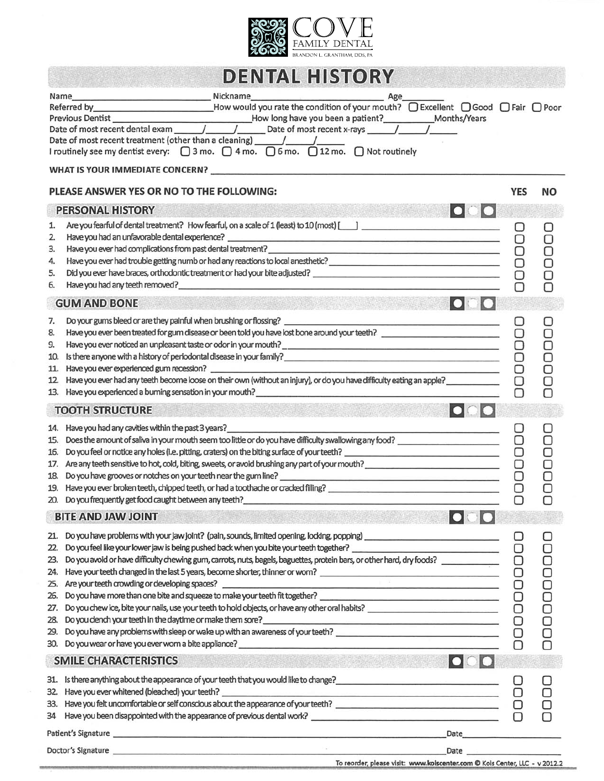

|                                                             | <b>DENTAL HISTORY</b>                                                                                                                                                                                                                                                                                                                                                                                                                                                                                                                                                                                                                                                                                                                               |             |             |
|-------------------------------------------------------------|-----------------------------------------------------------------------------------------------------------------------------------------------------------------------------------------------------------------------------------------------------------------------------------------------------------------------------------------------------------------------------------------------------------------------------------------------------------------------------------------------------------------------------------------------------------------------------------------------------------------------------------------------------------------------------------------------------------------------------------------------------|-------------|-------------|
| Name                                                        | Nickname<br>Age<br>Referred by <b>Excellent</b> D Good $\bigcap$ Fair $\bigcap$ Poor<br>Date of most recent treatment (other than a cleaning) __________________________                                                                                                                                                                                                                                                                                                                                                                                                                                                                                                                                                                            |             |             |
|                                                             | PLEASE ANSWER YES OR NO TO THE FOLLOWING:                                                                                                                                                                                                                                                                                                                                                                                                                                                                                                                                                                                                                                                                                                           | <b>YES</b>  | NΟ          |
|                                                             | 000<br><b>PERSONAL HISTORY</b>                                                                                                                                                                                                                                                                                                                                                                                                                                                                                                                                                                                                                                                                                                                      |             |             |
| 1.<br>2.<br>3.<br>4.<br>5.<br>6.                            | Are you fearful of dental treatment? How fearful, on a scale of 1 (least) to 10 (most) [14]<br>Have you had an unfavorable dental experience?<br>Have you ever had complications from past dental treatment?<br><u>Lawe you ever had complications from past dental treatment?</u><br>Have you had any teeth removed?<br><u> 1989 - Johann John Stein, mars an deutscher Stein († 1958)</u>                                                                                                                                                                                                                                                                                                                                                         | O           |             |
|                                                             | <b>GUM AND BONE</b>                                                                                                                                                                                                                                                                                                                                                                                                                                                                                                                                                                                                                                                                                                                                 |             |             |
| 7.<br>8.<br>9.<br>10.<br>11.<br>12.                         | Do your gums bleed or are they painful when brushing or flossing?<br>Have you ever been treated for gum disease or been told you have lost bone around your teeth?<br>Have you ever experienced gum recession?<br>Have you ever had any teeth become loose on their own (without an injury), or do you have difficulty eating an apple?<br>13. Have you experienced a burning sensation in your mouth? The manuscription of the sense of the sense of the                                                                                                                                                                                                                                                                                           | О           | Ò<br>Ò<br>O |
|                                                             | $\overline{\phantom{a}}$<br><b>TOOTH STRUCTURE</b>                                                                                                                                                                                                                                                                                                                                                                                                                                                                                                                                                                                                                                                                                                  |             |             |
| 15.<br>16.<br>17.<br>18.                                    | 14. Have you had any cavities within the past 3 years?<br><u> 1989 - Johann Stoff, Amerikaansk politiker (</u><br>Does the amount of saliva in your mouth seem too little or do you have difficulty swallowing any food?<br>Are any teeth sensitive to hot, cold, biting, sweets, or avoid brushing any part of your mouth?<br>Do you have grooves or notches on your teeth near the gum line?<br><u>Leader and the contract of the substantial of the substantial of the substantial of the substantial of the substantial of the substantial of the substantial</u><br>19. Have you ever broken teeth, chipped teeth, or had a toothache or cracked filling?<br>20. Do you frequently get food caught between any teeth? ________________________ |             |             |
|                                                             | <b>BITE AND JAW JOINT</b>                                                                                                                                                                                                                                                                                                                                                                                                                                                                                                                                                                                                                                                                                                                           |             |             |
| 21.<br>22.<br>23.<br>24.<br>25.<br>26.<br>27.<br>28.<br>29. | Do you feel like your lower jaw is being pushed back when you bite your teeth together?<br>Do you avoid or have difficulty chewing gum, carrots, nuts, bagels, baguettes, protein bars, or other hard, dry foods?<br>Have your teet<br><u> 1990 - Johann John Stein, mars an deus Amerikaansk kommunister (</u><br>Are your teeth crowding or developing spaces?<br>Do you dench your teeth in the daytime or make them sore?<br>Do you have any problems with sleep or wake up with an awareness of your teeth?<br>30. Do you wear or have you ever worn a bite appliance?<br>the contract of the contract of the contract of the contract of the contract of<br>$\bullet$ $\bullet$ $\bullet$<br><b>SMILE CHARACTERISTICS</b>                     | $\Box$<br>О |             |
|                                                             |                                                                                                                                                                                                                                                                                                                                                                                                                                                                                                                                                                                                                                                                                                                                                     |             |             |
| 32.                                                         | 33. Have you felt uncomfortable or self conscious about the appearance of your teeth?<br>34 Have you been disappointed with the appearance of previous dental work? ___________________________________                                                                                                                                                                                                                                                                                                                                                                                                                                                                                                                                             |             |             |
|                                                             |                                                                                                                                                                                                                                                                                                                                                                                                                                                                                                                                                                                                                                                                                                                                                     |             |             |
|                                                             | Doctor's Signature.<br><b>Date</b>                                                                                                                                                                                                                                                                                                                                                                                                                                                                                                                                                                                                                                                                                                                  |             |             |

To reorder, please visit: www.koiscenter.com @ Kois Center, LLC - v 2012.2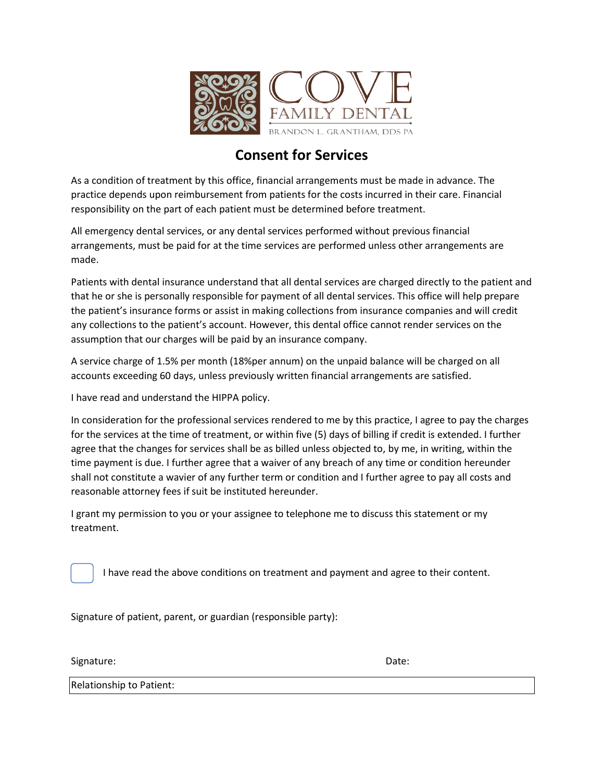

### **Consent for Services**

As a condition of treatment by this office, financial arrangements must be made in advance. The practice depends upon reimbursement from patients for the costs incurred in their care. Financial responsibility on the part of each patient must be determined before treatment.

All emergency dental services, or any dental services performed without previous financial arrangements, must be paid for at the time services are performed unless other arrangements are made.

Patients with dental insurance understand that all dental services are charged directly to the patient and that he or she is personally responsible for payment of all dental services. This office will help prepare the patient's insurance forms or assist in making collections from insurance companies and will credit any collections to the patient's account. However, this dental office cannot render services on the assumption that our charges will be paid by an insurance company.

A service charge of 1.5% per month (18%per annum) on the unpaid balance will be charged on all accounts exceeding 60 days, unless previously written financial arrangements are satisfied.

I have read and understand the HIPPA policy.

In consideration for the professional services rendered to me by this practice, I agree to pay the charges for the services at the time of treatment, or within five (5) days of billing if credit is extended. I further agree that the changes for services shall be as billed unless objected to, by me, in writing, within the time payment is due. I further agree that a waiver of any breach of any time or condition hereunder shall not constitute a wavier of any further term or condition and I further agree to pay all costs and reasonable attorney fees if suit be instituted hereunder.

I grant my permission to you or your assignee to telephone me to discuss this statement or my treatment.

I have read the above conditions on treatment and payment and agree to their content.

Signature of patient, parent, or guardian (responsible party):

Signature: Date: Date: Date: Date: Date: Date: Date: Date: Date: Date: Date: Date: Date: Date: Date: Date: Date: Date: Date: Date: Date: Date: Date: Date: Date: Date: Date: Date: Date: Date: Date: Date: Date: Date: Date: D

Relationship to Patient: